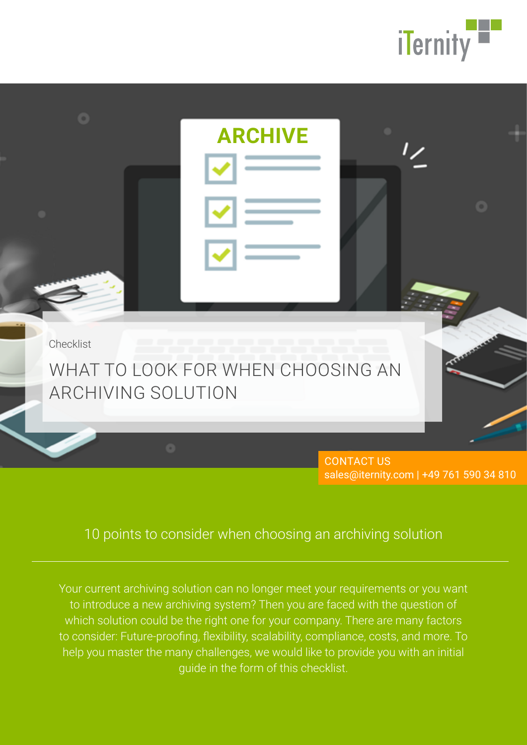



CONTACT US sales@iternity.com | +49 761 590 34 810

# 10 points to consider when choosing an archiving solution

Your current archiving solution can no longer meet your requirements or you want to introduce a new archiving system? Then you are faced with the question of which solution could be the right one for your company. There are many factors to consider: Future-proofing, flexibility, scalability, compliance, costs, and more. To help you master the many challenges, we would like to provide you with an initial guide in the form of this checklist.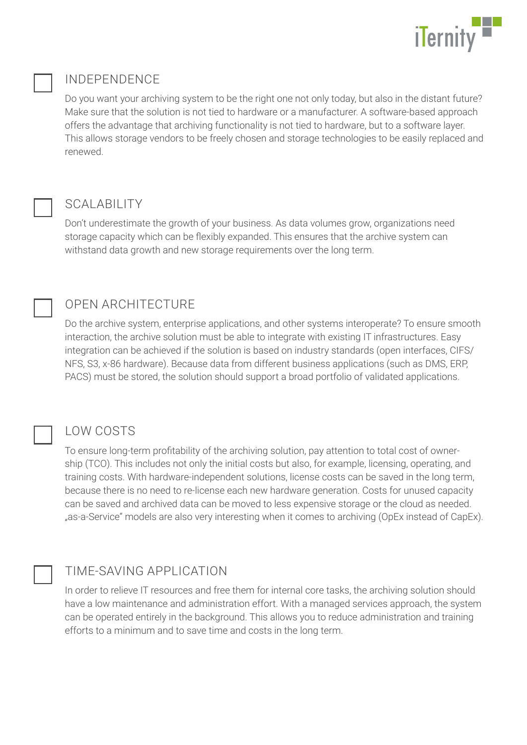

# INDEPENDENCE

Do you want your archiving system to be the right one not only today, but also in the distant future? Make sure that the solution is not tied to hardware or a manufacturer. A software-based approach offers the advantage that archiving functionality is not tied to hardware, but to a software layer. This allows storage vendors to be freely chosen and storage technologies to be easily replaced and renewed.

# SCALABILITY

Don't underestimate the growth of your business. As data volumes grow, organizations need storage capacity which can be flexibly expanded. This ensures that the archive system can withstand data growth and new storage requirements over the long term.



# OPEN ARCHITECTURE

Do the archive system, enterprise applications, and other systems interoperate? To ensure smooth interaction, the archive solution must be able to integrate with existing IT infrastructures. Easy integration can be achieved if the solution is based on industry standards (open interfaces, CIFS/ NFS, S3, x-86 hardware). Because data from different business applications (such as DMS, ERP, PACS) must be stored, the solution should support a broad portfolio of validated applications.



# LOW COSTS

To ensure long-term profitability of the archiving solution, pay attention to total cost of ownership (TCO). This includes not only the initial costs but also, for example, licensing, operating, and training costs. With hardware-independent solutions, license costs can be saved in the long term, because there is no need to re-license each new hardware generation. Costs for unused capacity can be saved and archived data can be moved to less expensive storage or the cloud as needed. "as-a-Service" models are also very interesting when it comes to archiving (OpEx instead of CapEx).

# TIME-SAVING APPLICATION

In order to relieve IT resources and free them for internal core tasks, the archiving solution should have a low maintenance and administration effort. With a managed services approach, the system can be operated entirely in the background. This allows you to reduce administration and training efforts to a minimum and to save time and costs in the long term.